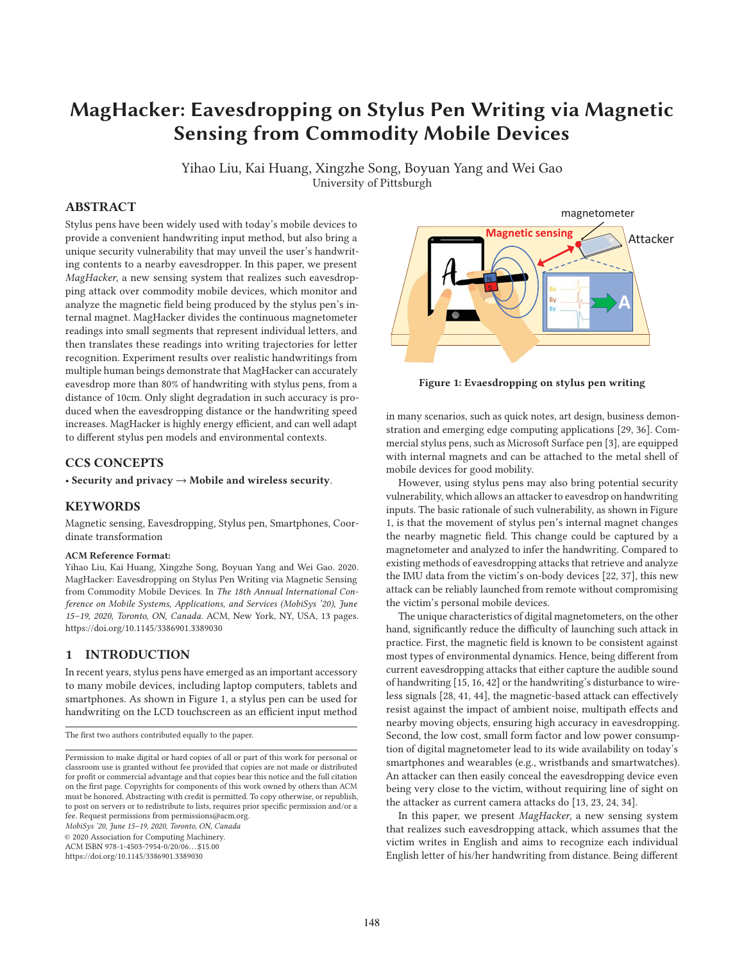# **MagHacker: Eavesdropping on Stylus Pen Writing via Magnetic Sensing from Commodity Mobile Devices**

Yihao Liu, Kai Huang, Xingzhe Song, Boyuan Yang and Wei Gao University of Pittsburgh

## **ABSTRACT**

Stylus pens have been widely used with today's mobile devices to provide a convenient handwriting input method, but also bring a unique security vulnerability that may unveil the user's handwriting contents to a nearby eavesdropper. In this paper, we present MagHacker, a new sensing system that realizes such eavesdropping attack over commodity mobile devices, which monitor and analyze the magnetic field being produced by the stylus pen's internal magnet. MagHacker divides the continuous magnetometer readings into small segments that represent individual letters, and then translates these readings into writing trajectories for letter recognition. Experiment results over realistic handwritings from multiple human beings demonstrate that MagHacker can accurately eavesdrop more than 80% of handwriting with stylus pens, from a distance of 10cm. Only slight degradation in such accuracy is produced when the eavesdropping distance or the handwriting speed increases. MagHacker is highly energy efficient, and can well adapt to different stylus pen models and environmental contexts.

#### **CCS CONCEPTS**

• **Security and privacy** → **Mobile and wireless security**.

#### **KEYWORDS**

Magnetic sensing, Eavesdropping, Stylus pen, Smartphones, Coordinate transformation

#### **ACM Reference Format:**

Yihao Liu, Kai Huang, Xingzhe Song, Boyuan Yang and Wei Gao. 2020. MagHacker: Eavesdropping on Stylus Pen Writing via Magnetic Sensing from Commodity Mobile Devices. In The 18th Annual International Conference on Mobile Systems, Applications, and Services (MobiSys '20), June 15–19, 2020, Toronto, ON, Canada. ACM, New York, NY, USA, 13 pages. https://doi.org/10.1145/3386901.3389030

## **1 INTRODUCTION**

In recent years, stylus pens have emerged as an important accessory to many mobile devices, including laptop computers, tablets and smartphones. As shown in Figure 1, a stylus pen can be used for handwriting on the LCD touchscreen as an efficient input method

MobiSys '20, June 15–19, 2020, Toronto, ON, Canada

© 2020 Association for Computing Machinery.

ACM ISBN 978-1-4503-7954-0/20/06. . . \$15.00

https://doi.org/10.1145/3386901.3389030



**Figure 1: Evaesdropping on stylus pen writing**

in many scenarios, such as quick notes, art design, business demonstration and emerging edge computing applications [29, 36]. Commercial stylus pens, such as Microsoft Surface pen [3], are equipped with internal magnets and can be attached to the metal shell of mobile devices for good mobility.

However, using stylus pens may also bring potential security vulnerability, which allows an attacker to eavesdrop on handwriting inputs. The basic rationale of such vulnerability, as shown in Figure 1, is that the movement of stylus pen's internal magnet changes the nearby magnetic field. This change could be captured by a magnetometer and analyzed to infer the handwriting. Compared to existing methods of eavesdropping attacks that retrieve and analyze the IMU data from the victim's on-body devices [22, 37], this new attack can be reliably launched from remote without compromising the victim's personal mobile devices.

The unique characteristics of digital magnetometers, on the other hand, significantly reduce the difficulty of launching such attack in practice. First, the magnetic field is known to be consistent against most types of environmental dynamics. Hence, being different from current eavesdropping attacks that either capture the audible sound of handwriting [15, 16, 42] or the handwriting's disturbance to wireless signals [28, 41, 44], the magnetic-based attack can effectively resist against the impact of ambient noise, multipath effects and nearby moving objects, ensuring high accuracy in eavesdropping. Second, the low cost, small form factor and low power consumption of digital magnetometer lead to its wide availability on today's smartphones and wearables (e.g., wristbands and smartwatches). An attacker can then easily conceal the eavesdropping device even being very close to the victim, without requiring line of sight on the attacker as current camera attacks do [13, 23, 24, 34].

In this paper, we present MagHacker, a new sensing system that realizes such eavesdropping attack, which assumes that the victim writes in English and aims to recognize each individual English letter of his/her handwriting from distance. Being different

The first two authors contributed equally to the paper.

Permission to make digital or hard copies of all or part of this work for personal or classroom use is granted without fee provided that copies are not made or distributed for profit or commercial advantage and that copies bear this notice and the full citation on the first page. Copyrights for components of this work owned by others than ACM must be honored. Abstracting with credit is permitted. To copy otherwise, or republish, to post on servers or to redistribute to lists, requires prior specific permission and/or a fee. Request permissions from permissions@acm.org.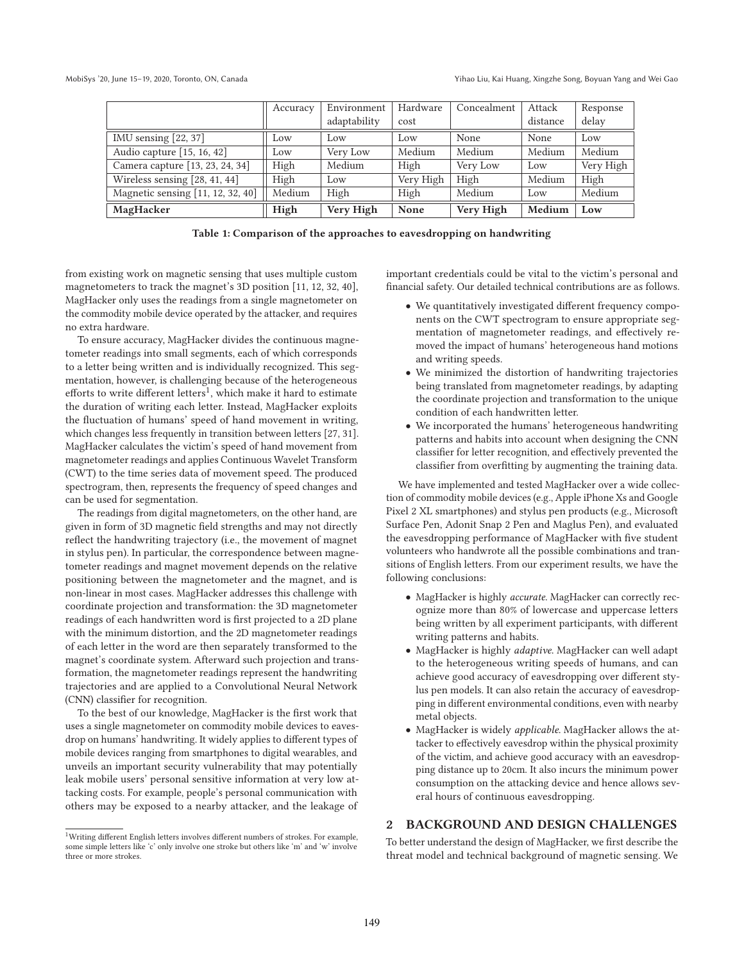|                                   | Accuracy | Environment  | Hardware  | Concealment | Attack   | Response  |
|-----------------------------------|----------|--------------|-----------|-------------|----------|-----------|
|                                   |          | adaptability | cost      |             | distance | delay     |
| IMU sensing $[22, 37]$            | Low      | Low          | Low       | None        | None     | Low       |
| Audio capture $[15, 16, 42]$      | Low      | Very Low     | Medium    | Medium      | Medium   | Medium    |
| Camera capture [13, 23, 24, 34]   | High     | Medium       | High      | Very Low    | Low      | Very High |
| Wireless sensing $[28, 41, 44]$   | High     | Low          | Very High | High        | Medium   | High      |
| Magnetic sensing [11, 12, 32, 40] | Medium   | High         | High      | Medium      | Low      | Medium    |
| MagHacker                         | High     | Very High    | None      | Very High   | Medium   | Low       |

**Table 1: Comparison of the approaches to eavesdropping on handwriting**

from existing work on magnetic sensing that uses multiple custom magnetometers to track the magnet's 3D position [11, 12, 32, 40], MagHacker only uses the readings from a single magnetometer on the commodity mobile device operated by the attacker, and requires no extra hardware.

To ensure accuracy, MagHacker divides the continuous magnetometer readings into small segments, each of which corresponds to a letter being written and is individually recognized. This segmentation, however, is challenging because of the heterogeneous efforts to write different letters<sup>1</sup>, which make it hard to estimate the duration of writing each letter. Instead, MagHacker exploits the fluctuation of humans' speed of hand movement in writing, which changes less frequently in transition between letters [27, 31]. MagHacker calculates the victim's speed of hand movement from magnetometer readings and applies Continuous Wavelet Transform (CWT) to the time series data of movement speed. The produced spectrogram, then, represents the frequency of speed changes and can be used for segmentation.

The readings from digital magnetometers, on the other hand, are given in form of 3D magnetic field strengths and may not directly reflect the handwriting trajectory (i.e., the movement of magnet in stylus pen). In particular, the correspondence between magnetometer readings and magnet movement depends on the relative positioning between the magnetometer and the magnet, and is non-linear in most cases. MagHacker addresses this challenge with coordinate projection and transformation: the 3D magnetometer readings of each handwritten word is first projected to a 2D plane with the minimum distortion, and the 2D magnetometer readings of each letter in the word are then separately transformed to the magnet's coordinate system. Afterward such projection and transformation, the magnetometer readings represent the handwriting trajectories and are applied to a Convolutional Neural Network (CNN) classifier for recognition.

To the best of our knowledge, MagHacker is the first work that uses a single magnetometer on commodity mobile devices to eavesdrop on humans' handwriting. It widely applies to different types of mobile devices ranging from smartphones to digital wearables, and unveils an important security vulnerability that may potentially leak mobile users' personal sensitive information at very low attacking costs. For example, people's personal communication with others may be exposed to a nearby attacker, and the leakage of

important credentials could be vital to the victim's personal and financial safety. Our detailed technical contributions are as follows.

- We quantitatively investigated different frequency components on the CWT spectrogram to ensure appropriate segmentation of magnetometer readings, and effectively removed the impact of humans' heterogeneous hand motions and writing speeds.
- We minimized the distortion of handwriting trajectories being translated from magnetometer readings, by adapting the coordinate projection and transformation to the unique condition of each handwritten letter.
- We incorporated the humans' heterogeneous handwriting patterns and habits into account when designing the CNN classifier for letter recognition, and effectively prevented the classifier from overfitting by augmenting the training data.

We have implemented and tested MagHacker over a wide collection of commodity mobile devices (e.g., Apple iPhone Xs and Google Pixel 2 XL smartphones) and stylus pen products (e.g., Microsoft Surface Pen, Adonit Snap 2 Pen and Maglus Pen), and evaluated the eavesdropping performance of MagHacker with five student volunteers who handwrote all the possible combinations and transitions of English letters. From our experiment results, we have the following conclusions:

- MagHacker is highly accurate. MagHacker can correctly recognize more than 80% of lowercase and uppercase letters being written by all experiment participants, with different writing patterns and habits.
- MagHacker is highly adaptive. MagHacker can well adapt to the heterogeneous writing speeds of humans, and can achieve good accuracy of eavesdropping over different stylus pen models. It can also retain the accuracy of eavesdropping in different environmental conditions, even with nearby metal objects.
- MagHacker is widely applicable. MagHacker allows the attacker to effectively eavesdrop within the physical proximity of the victim, and achieve good accuracy with an eavesdropping distance up to 20cm. It also incurs the minimum power consumption on the attacking device and hence allows several hours of continuous eavesdropping.

## **2 BACKGROUND AND DESIGN CHALLENGES**

To better understand the design of MagHacker, we first describe the threat model and technical background of magnetic sensing. We

<sup>1</sup>Writing different English letters involves different numbers of strokes. For example, some simple letters like 'c' only involve one stroke but others like 'm' and 'w' involve three or more strokes.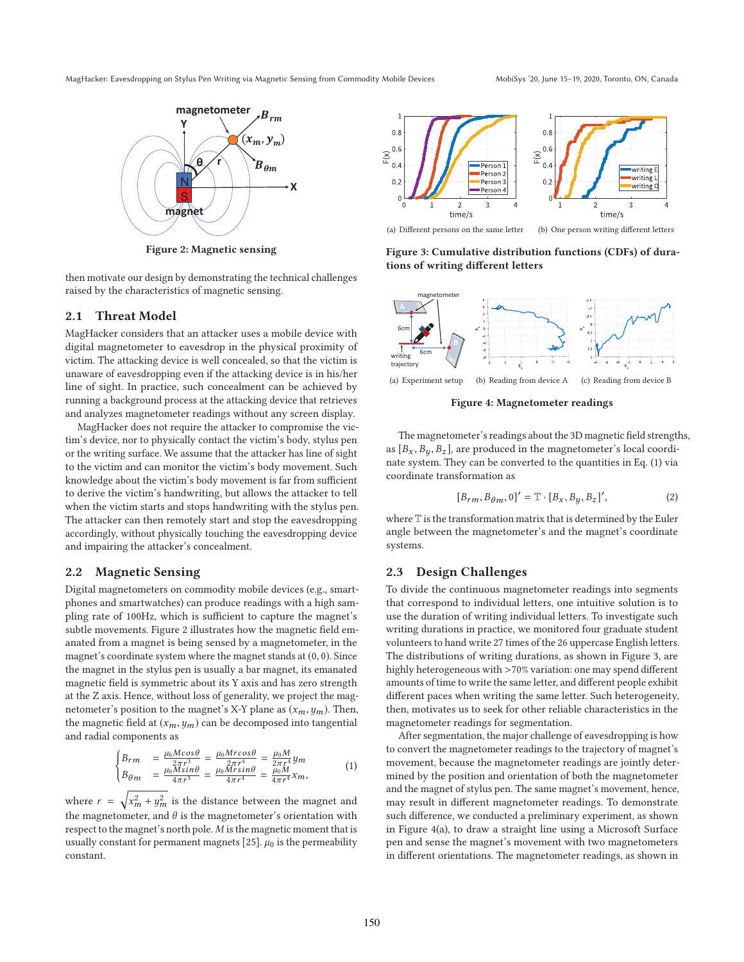

**Figure 2: Magnetic sensing**

then motivate our design by demonstrating the technical challenges raised by the characteristics of magnetic sensing.

#### **2.1 Threat Model**

MagHacker considers that an attacker uses a mobile device with digital magnetometer to eavesdrop in the physical proximity of victim. The attacking device is well concealed, so that the victim is unaware of eavesdropping even if the attacking device is in his/her line of sight. In practice, such concealment can be achieved by running a background process at the attacking device that retrieves and analyzes magnetometer readings without any screen display.

MagHacker does not require the attacker to compromise the victim's device, nor to physically contact the victim's body, stylus pen or the writing surface. We assume that the attacker has line of sight to the victim and can monitor the victim's body movement. Such knowledge about the victim's body movement is far from sufficient to derive the victim's handwriting, but allows the attacker to tell when the victim starts and stops handwriting with the stylus pen. The attacker can then remotely start and stop the eavesdropping accordingly, without physically touching the eavesdropping device and impairing the attacker's concealment.

#### **2.2 Magnetic Sensing**

Digital magnetometers on commodity mobile devices (e.g., smartphones and smartwatches) can produce readings with a high sampling rate of 100Hz, which is sufficient to capture the magnet's subtle movements. Figure 2 illustrates how the magnetic field emanated from a magnet is being sensed by a magnetometer, in the magnet's coordinate system where the magnet stands at  $(0, 0)$ . Since the magnet in the stylus pen is usually a bar magnet, its emanated magnetic field is symmetric about its Y axis and has zero strength at the Z axis. Hence, without loss of generality, we project the magnetometer's position to the magnet's X-Y plane as  $(x_m, y_m)$ . Then, the magnetic field at  $(x_m, y_m)$  can be decomposed into tangential and radial components as

$$
\begin{cases}\nB_{rm} = \frac{\mu_0 M cos \theta}{2\pi r^3} = \frac{\mu_0 M r cos \theta}{2\pi r^4} = \frac{\mu_0 M}{2\pi r^4} y_m \\
B_{\theta m} = \frac{\mu_0 M sin \theta}{4\pi r^3} = \frac{\mu_0 M r sin \theta}{4\pi r^4} = \frac{\mu_0 M}{4\pi r^4} x_m,\n\end{cases} (1)
$$

where  $r = \sqrt{x_m^2 + y_m^2}$  is the distance between the magnet and the magnetometer, and  $\theta$  is the magnetometer's orientation with respect to the magnet's north pole. M is the magnetic moment that is usually constant for permanent magnets [25].  $\mu_0$  is the permeability constant.



**Figure 3: Cumulative distribution functions (CDFs) of durations of writing different letters**



**Figure 4: Magnetometer readings**

The magnetometer's readings about the 3D magnetic field strengths, as  $[B_x, B_y, B_z]$ , are produced in the magnetometer's local coordinate system. They can be converted to the quantities in Eq. (1) via coordinate transformation as

$$
[B_{rm}, B_{\theta m}, 0]' = \mathbb{T} \cdot [B_x, B_y, B_z]', \qquad (2)
$$

where T is the transformation matrix that is determined by the Euler angle between the magnetometer's and the magnet's coordinate systems.

#### **2.3 Design Challenges**

To divide the continuous magnetometer readings into segments that correspond to individual letters, one intuitive solution is to use the duration of writing individual letters. To investigate such writing durations in practice, we monitored four graduate student volunteers to hand write 27 times of the 26 uppercase English letters. The distributions of writing durations, as shown in Figure 3, are highly heterogeneous with >70% variation: one may spend different amounts of time to write the same letter, and different people exhibit different paces when writing the same letter. Such heterogeneity, then, motivates us to seek for other reliable characteristics in the magnetometer readings for segmentation.

After segmentation, the major challenge of eavesdropping is how to convert the magnetometer readings to the trajectory of magnet's movement, because the magnetometer readings are jointly determined by the position and orientation of both the magnetometer and the magnet of stylus pen. The same magnet's movement, hence, may result in different magnetometer readings. To demonstrate such difference, we conducted a preliminary experiment, as shown in Figure 4(a), to draw a straight line using a Microsoft Surface pen and sense the magnet's movement with two magnetometers in different orientations. The magnetometer readings, as shown in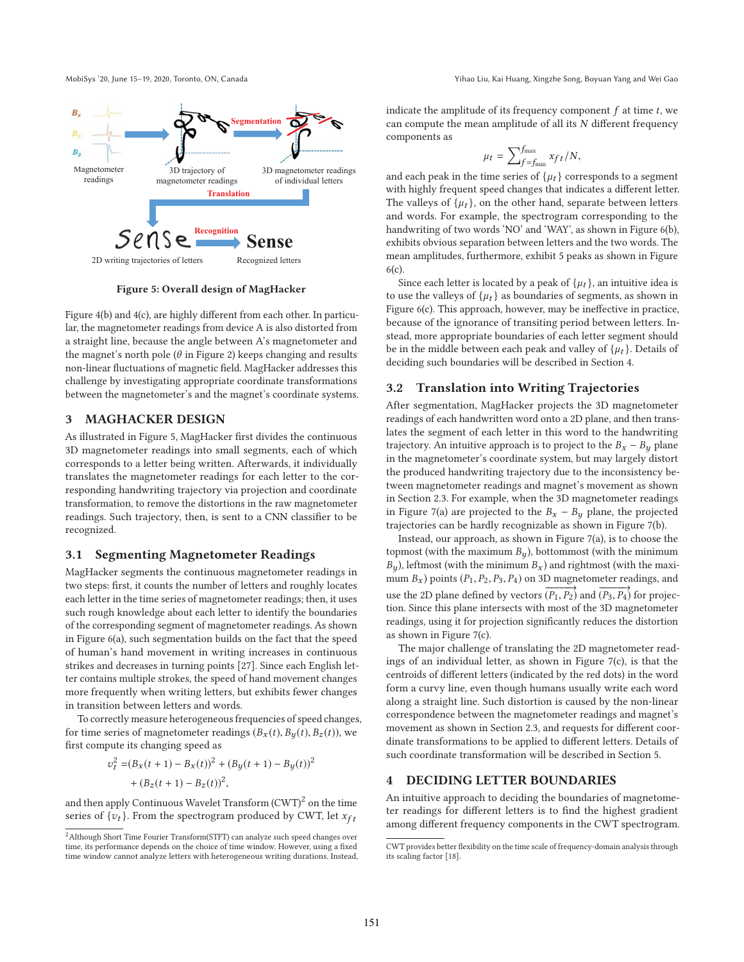

**Figure 5: Overall design of MagHacker**

Figure 4(b) and 4(c), are highly different from each other. In particular, the magnetometer readings from device A is also distorted from a straight line, because the angle between A's magnetometer and the magnet's north pole ( $\theta$  in Figure 2) keeps changing and results non-linear fluctuations of magnetic field. MagHacker addresses this challenge by investigating appropriate coordinate transformations between the magnetometer's and the magnet's coordinate systems.

## **3 MAGHACKER DESIGN**

As illustrated in Figure 5, MagHacker first divides the continuous 3D magnetometer readings into small segments, each of which corresponds to a letter being written. Afterwards, it individually translates the magnetometer readings for each letter to the corresponding handwriting trajectory via projection and coordinate transformation, to remove the distortions in the raw magnetometer readings. Such trajectory, then, is sent to a CNN classifier to be recognized.

#### **3.1 Segmenting Magnetometer Readings**

MagHacker segments the continuous magnetometer readings in two steps: first, it counts the number of letters and roughly locates each letter in the time series of magnetometer readings; then, it uses such rough knowledge about each letter to identify the boundaries of the corresponding segment of magnetometer readings. As shown in Figure 6(a), such segmentation builds on the fact that the speed of human's hand movement in writing increases in continuous strikes and decreases in turning points [27]. Since each English letter contains multiple strokes, the speed of hand movement changes more frequently when writing letters, but exhibits fewer changes in transition between letters and words.

To correctly measure heterogeneous frequencies of speed changes, for time series of magnetometer readings  $(B_x(t), B_y(t), B_z(t))$ , we first compute its changing speed as

$$
v_t^2 = (B_x(t+1) - B_x(t))^2 + (B_y(t+1) - B_y(t))^2
$$
  
+  $(B_z(t+1) - B_z(t))^2$ ,

and then apply Continuous Wavelet Transform  $(CWT)^2$  on the time series of  $\{v_t\}$ . From the spectrogram produced by CWT, let  $x_{ft}$  indicate the amplitude of its frequency component  $f$  at time  $t$ , we can compute the mean amplitude of all its  $N$  different frequency components as

$$
\mu_t = \sum_{f=f_{\min}}^{f_{\max}} x_{f t} / N,
$$

and each peak in the time series of  $\{\mu_t\}$  corresponds to a segment with highly frequent speed changes that indicates a different letter. The valleys of  $\{\mu_t\}$ , on the other hand, separate between letters and words. For example, the spectrogram corresponding to the handwriting of two words 'NO' and 'WAY', as shown in Figure 6(b), exhibits obvious separation between letters and the two words. The mean amplitudes, furthermore, exhibit 5 peaks as shown in Figure 6(c).

Since each letter is located by a peak of  $\{\mu_t\}$ , an intuitive idea is to use the valleys of  $\{\mu_t\}$  as boundaries of segments, as shown in Figure 6(c). This approach, however, may be ineffective in practice, because of the ignorance of transiting period between letters. Instead, more appropriate boundaries of each letter segment should be in the middle between each peak and valley of  $\{\mu_t\}$ . Details of deciding such boundaries will be described in Section 4.

#### **3.2 Translation into Writing Trajectories**

After segmentation, MagHacker projects the 3D magnetometer readings of each handwritten word onto a 2D plane, and then translates the segment of each letter in this word to the handwriting trajectory. An intuitive approach is to project to the  $B_x - B_y$  plane in the magnetometer's coordinate system, but may largely distort the produced handwriting trajectory due to the inconsistency between magnetometer readings and magnet's movement as shown in Section 2.3. For example, when the 3D magnetometer readings in Figure 7(a) are projected to the  $B_x - B_y$  plane, the projected trajectories can be hardly recognizable as shown in Figure 7(b).

Instead, our approach, as shown in Figure 7(a), is to choose the topmost (with the maximum  $B_y$ ), bottommost (with the minimum  $B_y$ ), leftmost (with the minimum  $B_x$ ) and rightmost (with the maximum  $B_x$ ) points ( $P_1, P_2, P_3, P_4$ ) on 3D magnetometer readings, and use the 2D plane defined by vectors  $(P_1, P_2)$  and  $(P_3, P_4)$  for projection. Since this plane intersects with most of the 3D magnetometer readings, using it for projection significantly reduces the distortion as shown in Figure 7(c).

The major challenge of translating the 2D magnetometer readings of an individual letter, as shown in Figure 7(c), is that the centroids of different letters (indicated by the red dots) in the word form a curvy line, even though humans usually write each word along a straight line. Such distortion is caused by the non-linear correspondence between the magnetometer readings and magnet's movement as shown in Section 2.3, and requests for different coordinate transformations to be applied to different letters. Details of such coordinate transformation will be described in Section 5.

## **4 DECIDING LETTER BOUNDARIES**

An intuitive approach to deciding the boundaries of magnetometer readings for different letters is to find the highest gradient among different frequency components in the CWT spectrogram.

<sup>2</sup>Although Short Time Fourier Transform(STFT) can analyze such speed changes over time, its performance depends on the choice of time window. However, using a fixed time window cannot analyze letters with heterogeneous writing durations. Instead,

CWT provides better flexibility on the time scale of frequency-domain analysis through its scaling factor [18].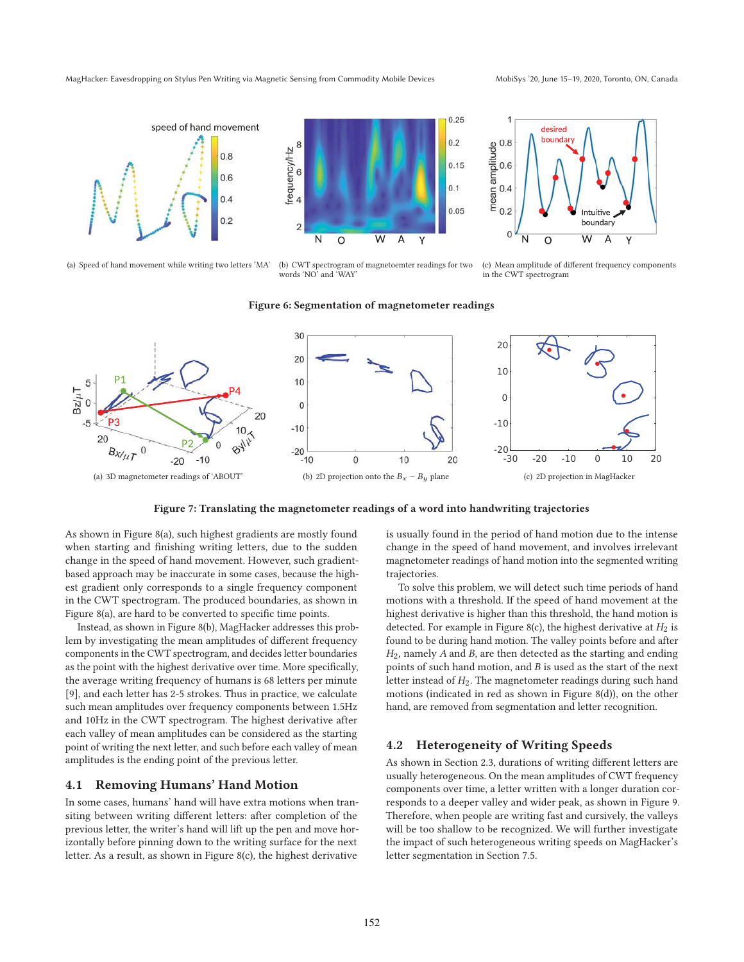



(a) Speed of hand movement while writing two letters 'MA' (b) CWT spectrogram of magnetoemter readings for two words 'NO' and 'WAY'



(c) Mean amplitude of different frequency components in the CWT spectrogram





**Figure 7: Translating the magnetometer readings of a word into handwriting trajectories**

As shown in Figure 8(a), such highest gradients are mostly found when starting and finishing writing letters, due to the sudden change in the speed of hand movement. However, such gradientbased approach may be inaccurate in some cases, because the highest gradient only corresponds to a single frequency component in the CWT spectrogram. The produced boundaries, as shown in Figure 8(a), are hard to be converted to specific time points.

Instead, as shown in Figure 8(b), MagHacker addresses this problem by investigating the mean amplitudes of different frequency components in the CWT spectrogram, and decides letter boundaries as the point with the highest derivative over time. More specifically, the average writing frequency of humans is 68 letters per minute [9], and each letter has 2-5 strokes. Thus in practice, we calculate such mean amplitudes over frequency components between 1.5Hz and 10Hz in the CWT spectrogram. The highest derivative after each valley of mean amplitudes can be considered as the starting point of writing the next letter, and such before each valley of mean amplitudes is the ending point of the previous letter.

#### **4.1 Removing Humans' Hand Motion**

In some cases, humans' hand will have extra motions when transiting between writing different letters: after completion of the previous letter, the writer's hand will lift up the pen and move horizontally before pinning down to the writing surface for the next letter. As a result, as shown in Figure 8(c), the highest derivative

is usually found in the period of hand motion due to the intense change in the speed of hand movement, and involves irrelevant magnetometer readings of hand motion into the segmented writing trajectories.

To solve this problem, we will detect such time periods of hand motions with a threshold. If the speed of hand movement at the highest derivative is higher than this threshold, the hand motion is detected. For example in Figure 8(c), the highest derivative at  $H_2$  is found to be during hand motion. The valley points before and after  $H<sub>2</sub>$ , namely A and B, are then detected as the starting and ending points of such hand motion, and B is used as the start of the next letter instead of  $H_2$ . The magnetometer readings during such hand motions (indicated in red as shown in Figure 8(d)), on the other hand, are removed from segmentation and letter recognition.

#### **4.2 Heterogeneity of Writing Speeds**

As shown in Section 2.3, durations of writing different letters are usually heterogeneous. On the mean amplitudes of CWT frequency components over time, a letter written with a longer duration corresponds to a deeper valley and wider peak, as shown in Figure 9. Therefore, when people are writing fast and cursively, the valleys will be too shallow to be recognized. We will further investigate the impact of such heterogeneous writing speeds on MagHacker's letter segmentation in Section 7.5.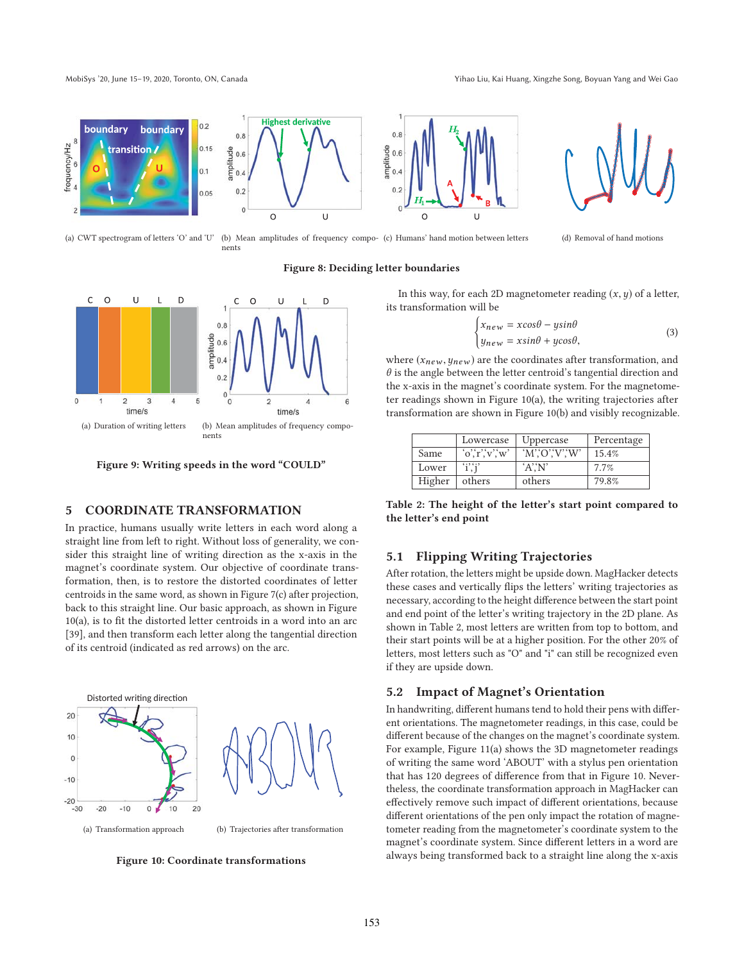

(a) CWT spectrogram of letters 'O' and 'U' (b) Mean amplitudes of frequency compo-(c) Humans' hand motion between letters (d) Removal of hand motions

nents

## **Figure 8: Deciding letter boundaries**



**Figure 9: Writing speeds in the word "COULD"**

## **5 COORDINATE TRANSFORMATION**

In practice, humans usually write letters in each word along a straight line from left to right. Without loss of generality, we consider this straight line of writing direction as the x-axis in the magnet's coordinate system. Our objective of coordinate transformation, then, is to restore the distorted coordinates of letter centroids in the same word, as shown in Figure 7(c) after projection, back to this straight line. Our basic approach, as shown in Figure 10(a), is to fit the distorted letter centroids in a word into an arc [39], and then transform each letter along the tangential direction of its centroid (indicated as red arrows) on the arc.



**Figure 10: Coordinate transformations**

In this way, for each 2D magnetometer reading  $(x, y)$  of a letter, its transformation will be

$$
\begin{cases} x_{new} = x\cos\theta - y\sin\theta \\ y_{new} = x\sin\theta + y\cos\theta, \end{cases}
$$
 (3)

where  $(x_{new}, y_{new})$  are the coordinates after transformation, and  $\theta$  is the angle between the letter centroid's tangential direction and the x-axis in the magnet's coordinate system. For the magnetometer readings shown in Figure 10(a), the writing trajectories after transformation are shown in Figure 10(b) and visibly recognizable.

|        | Lowercase   | Uppercase           | Percentage |
|--------|-------------|---------------------|------------|
| Same   | o,'r,'v,'w' | $W'$ . $O''$ . $W'$ | 15.4%      |
| Lower  | $i$ ; $i$   | 'A'X'               | 7.7%       |
| Higher | others      | others              | 79.8%      |

**Table 2: The height of the letter's start point compared to the letter's end point**

#### **5.1 Flipping Writing Trajectories**

After rotation, the letters might be upside down. MagHacker detects these cases and vertically flips the letters' writing trajectories as necessary, according to the height difference between the start point and end point of the letter's writing trajectory in the 2D plane. As shown in Table 2, most letters are written from top to bottom, and their start points will be at a higher position. For the other 20% of letters, most letters such as "O" and "i" can still be recognized even if they are upside down.

#### **5.2 Impact of Magnet's Orientation**

In handwriting, different humans tend to hold their pens with different orientations. The magnetometer readings, in this case, could be different because of the changes on the magnet's coordinate system. For example, Figure 11(a) shows the 3D magnetometer readings of writing the same word 'ABOUT' with a stylus pen orientation that has 120 degrees of difference from that in Figure 10. Nevertheless, the coordinate transformation approach in MagHacker can effectively remove such impact of different orientations, because different orientations of the pen only impact the rotation of magnetometer reading from the magnetometer's coordinate system to the magnet's coordinate system. Since different letters in a word are always being transformed back to a straight line along the x-axis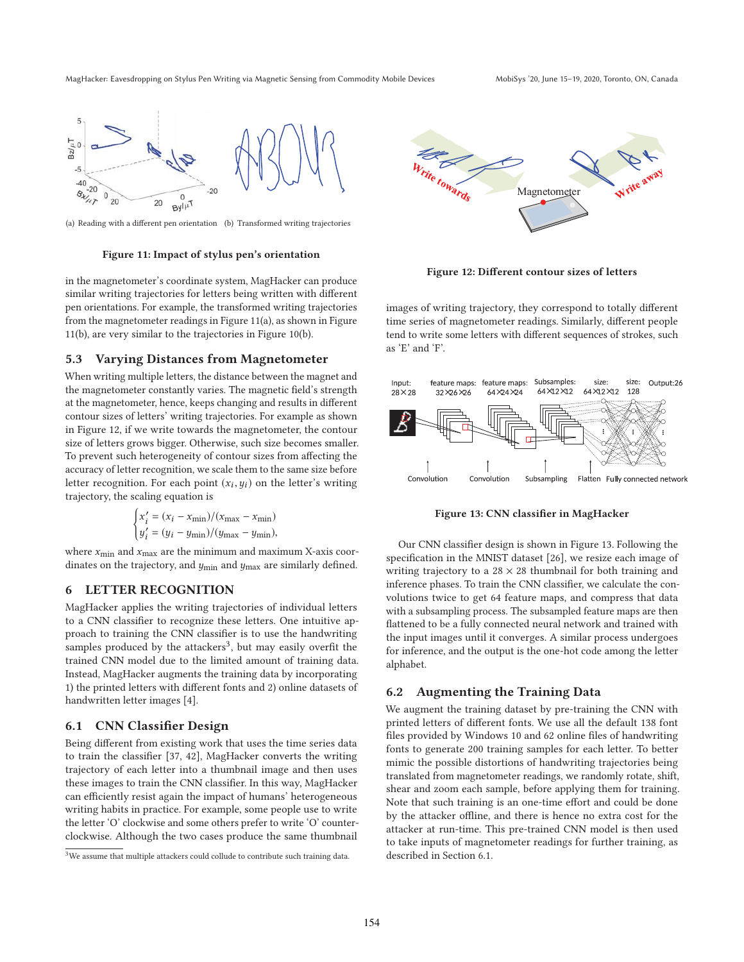

(a) Reading with a different pen orientation (b) Transformed writing trajectories

#### **Figure 11: Impact of stylus pen's orientation**

in the magnetometer's coordinate system, MagHacker can produce similar writing trajectories for letters being written with different pen orientations. For example, the transformed writing trajectories from the magnetometer readings in Figure 11(a), as shown in Figure 11(b), are very similar to the trajectories in Figure 10(b).

#### **5.3 Varying Distances from Magnetometer**

When writing multiple letters, the distance between the magnet and the magnetometer constantly varies. The magnetic field's strength at the magnetometer, hence, keeps changing and results in different contour sizes of letters' writing trajectories. For example as shown in Figure 12, if we write towards the magnetometer, the contour size of letters grows bigger. Otherwise, such size becomes smaller. To prevent such heterogeneity of contour sizes from affecting the accuracy of letter recognition, we scale them to the same size before letter recognition. For each point  $(x_i, y_i)$  on the letter's writing trajectory, the scaling equation is

$$
\begin{cases} x'_i = (x_i - x_{\min})/(x_{\max} - x_{\min}) \\ y'_i = (y_i - y_{\min})/(y_{\max} - y_{\min}), \end{cases}
$$

where  $x_{\min}$  and  $x_{\max}$  are the minimum and maximum X-axis coordinates on the trajectory, and  $y_{\text{min}}$  and  $y_{\text{max}}$  are similarly defined.

#### **6 LETTER RECOGNITION**

MagHacker applies the writing trajectories of individual letters to a CNN classifier to recognize these letters. One intuitive approach to training the CNN classifier is to use the handwriting samples produced by the attackers<sup>3</sup>, but may easily overfit the trained CNN model due to the limited amount of training data. Instead, MagHacker augments the training data by incorporating 1) the printed letters with different fonts and 2) online datasets of handwritten letter images [4].

#### **6.1 CNN Classifier Design**

Being different from existing work that uses the time series data to train the classifier [37, 42], MagHacker converts the writing trajectory of each letter into a thumbnail image and then uses these images to train the CNN classifier. In this way, MagHacker can efficiently resist again the impact of humans' heterogeneous writing habits in practice. For example, some people use to write the letter 'O' clockwise and some others prefer to write 'O' counterclockwise. Although the two cases produce the same thumbnail



**Figure 12: Different contour sizes of letters**

images of writing trajectory, they correspond to totally different time series of magnetometer readings. Similarly, different people tend to write some letters with different sequences of strokes, such as 'E' and 'F'.



**Figure 13: CNN classifier in MagHacker**

Our CNN classifier design is shown in Figure 13. Following the specification in the MNIST dataset [26], we resize each image of writing trajectory to a  $28 \times 28$  thumbnail for both training and inference phases. To train the CNN classifier, we calculate the convolutions twice to get 64 feature maps, and compress that data with a subsampling process. The subsampled feature maps are then flattened to be a fully connected neural network and trained with the input images until it converges. A similar process undergoes for inference, and the output is the one-hot code among the letter alphabet.

#### **6.2 Augmenting the Training Data**

We augment the training dataset by pre-training the CNN with printed letters of different fonts. We use all the default 138 font files provided by Windows 10 and 62 online files of handwriting fonts to generate 200 training samples for each letter. To better mimic the possible distortions of handwriting trajectories being translated from magnetometer readings, we randomly rotate, shift, shear and zoom each sample, before applying them for training. Note that such training is an one-time effort and could be done by the attacker offline, and there is hence no extra cost for the attacker at run-time. This pre-trained CNN model is then used to take inputs of magnetometer readings for further training, as described in Section 6.1.

<sup>&</sup>lt;sup>3</sup>We assume that multiple attackers could collude to contribute such training data.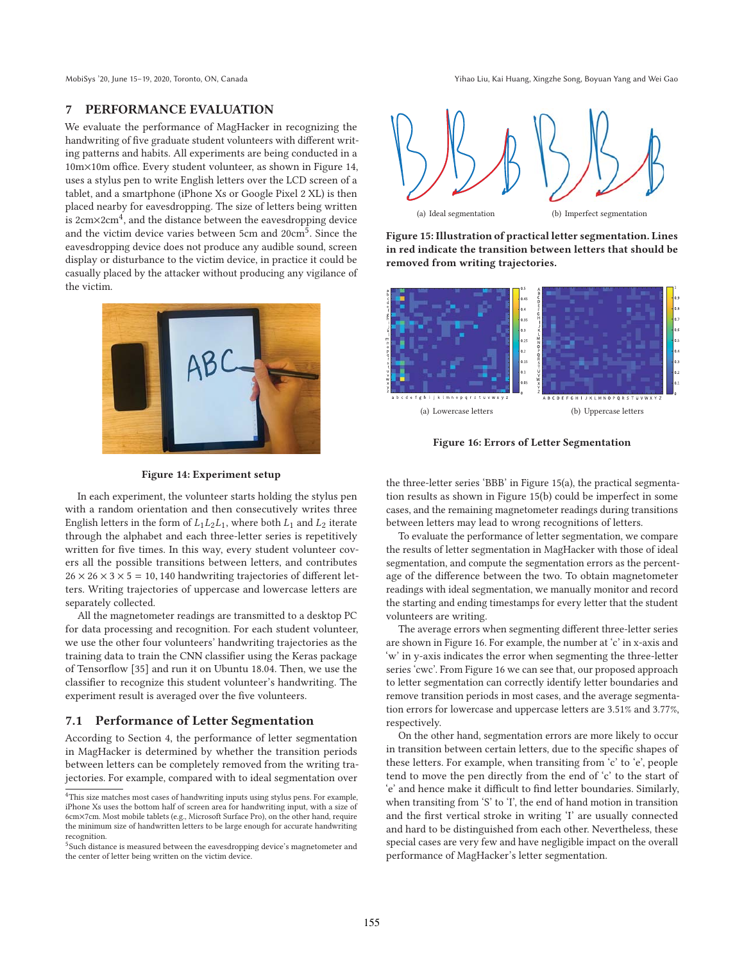MobiSys '20, June 15-19, 2020, Toronto, ON, Canada Yihao Liu, Kai Huang, Xingzhe Song, Boyuan Yang and Wei Gao

## **7 PERFORMANCE EVALUATION**

We evaluate the performance of MagHacker in recognizing the handwriting of five graduate student volunteers with different writing patterns and habits. All experiments are being conducted in a 10m×10m office. Every student volunteer, as shown in Figure 14, uses a stylus pen to write English letters over the LCD screen of a tablet, and a smartphone (iPhone Xs or Google Pixel 2 XL) is then placed nearby for eavesdropping. The size of letters being written is  $2 \text{cm} \times 2 \text{cm}^4$ , and the distance between the eavesdropping device and the victim device varies between 5cm and 20cm<sup>5</sup>. Since the eavesdropping device does not produce any audible sound, screen display or disturbance to the victim device, in practice it could be casually placed by the attacker without producing any vigilance of the victim.





**Figure 15: Illustration of practical letter segmentation. Lines in red indicate the transition between letters that should be removed from writing trajectories.**



**Figure 16: Errors of Letter Segmentation**

**Figure 14: Experiment setup**

In each experiment, the volunteer starts holding the stylus pen with a random orientation and then consecutively writes three English letters in the form of  $L_1L_2L_1$ , where both  $L_1$  and  $L_2$  iterate through the alphabet and each three-letter series is repetitively written for five times. In this way, every student volunteer covers all the possible transitions between letters, and contributes  $26 \times 26 \times 3 \times 5 = 10,140$  handwriting trajectories of different letters. Writing trajectories of uppercase and lowercase letters are separately collected.

All the magnetometer readings are transmitted to a desktop PC for data processing and recognition. For each student volunteer, we use the other four volunteers' handwriting trajectories as the training data to train the CNN classifier using the Keras package of Tensorflow [35] and run it on Ubuntu 18.04. Then, we use the classifier to recognize this student volunteer's handwriting. The experiment result is averaged over the five volunteers.

## **7.1 Performance of Letter Segmentation**

According to Section 4, the performance of letter segmentation in MagHacker is determined by whether the transition periods between letters can be completely removed from the writing trajectories. For example, compared with to ideal segmentation over

the three-letter series 'BBB' in Figure 15(a), the practical segmentation results as shown in Figure 15(b) could be imperfect in some cases, and the remaining magnetometer readings during transitions between letters may lead to wrong recognitions of letters.

To evaluate the performance of letter segmentation, we compare the results of letter segmentation in MagHacker with those of ideal segmentation, and compute the segmentation errors as the percentage of the difference between the two. To obtain magnetometer readings with ideal segmentation, we manually monitor and record the starting and ending timestamps for every letter that the student volunteers are writing.

The average errors when segmenting different three-letter series are shown in Figure 16. For example, the number at 'c' in x-axis and 'w' in y-axis indicates the error when segmenting the three-letter series 'cwc'. From Figure 16 we can see that, our proposed approach to letter segmentation can correctly identify letter boundaries and remove transition periods in most cases, and the average segmentation errors for lowercase and uppercase letters are 3.51% and 3.77%, respectively.

On the other hand, segmentation errors are more likely to occur in transition between certain letters, due to the specific shapes of these letters. For example, when transiting from 'c' to 'e', people tend to move the pen directly from the end of 'c' to the start of 'e' and hence make it difficult to find letter boundaries. Similarly, when transiting from 'S' to 'I', the end of hand motion in transition and the first vertical stroke in writing 'I' are usually connected and hard to be distinguished from each other. Nevertheless, these special cases are very few and have negligible impact on the overall performance of MagHacker's letter segmentation.

 $\rm ^4This$  size matches most cases of handwriting inputs using stylus pens. For example, iPhone Xs uses the bottom half of screen area for handwriting input, with a size of 6cm×7cm. Most mobile tablets (e.g., Microsoft Surface Pro), on the other hand, require the minimum size of handwritten letters to be large enough for accurate handwriting recognition.

 $^5$ Such distance is measured between the eavesdropping device's magnetometer and the center of letter being written on the victim device.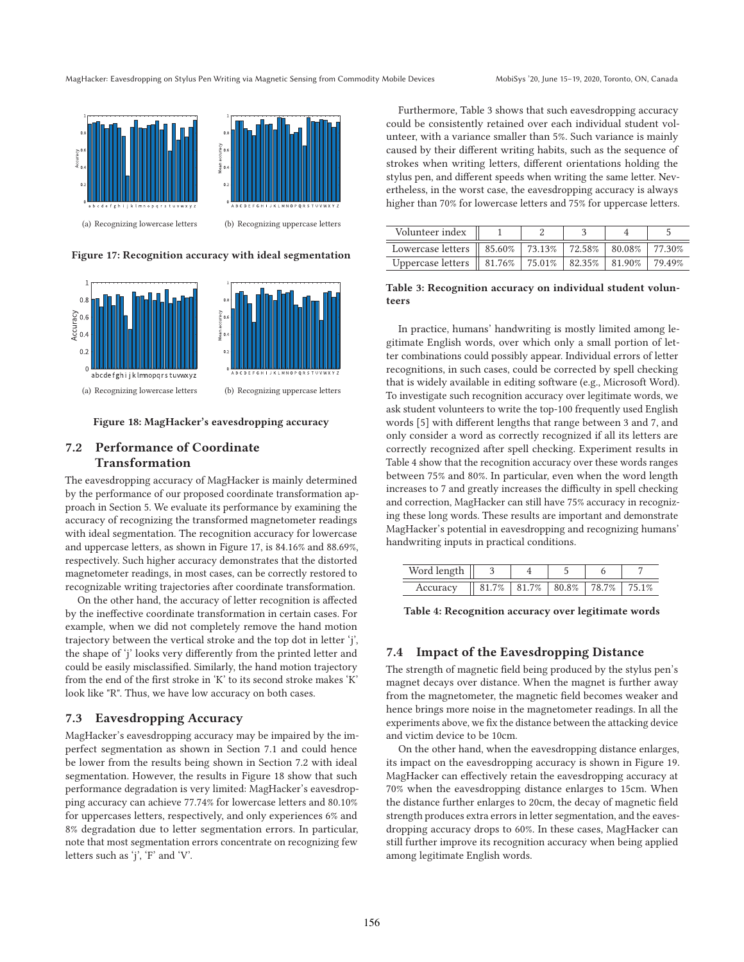(a) Recognizing lowercase letters (b) Recognizing uppercase letters

**Figure 17: Recognition accuracy with ideal segmentation**



**Figure 18: MagHacker's eavesdropping accuracy**

## **7.2 Performance of Coordinate Transformation**

The eavesdropping accuracy of MagHacker is mainly determined by the performance of our proposed coordinate transformation approach in Section 5. We evaluate its performance by examining the accuracy of recognizing the transformed magnetometer readings with ideal segmentation. The recognition accuracy for lowercase and uppercase letters, as shown in Figure 17, is 84.16% and 88.69%, respectively. Such higher accuracy demonstrates that the distorted magnetometer readings, in most cases, can be correctly restored to recognizable writing trajectories after coordinate transformation.

On the other hand, the accuracy of letter recognition is affected by the ineffective coordinate transformation in certain cases. For example, when we did not completely remove the hand motion trajectory between the vertical stroke and the top dot in letter 'j', the shape of 'j' looks very differently from the printed letter and could be easily misclassified. Similarly, the hand motion trajectory from the end of the first stroke in 'K' to its second stroke makes 'K' look like "R". Thus, we have low accuracy on both cases.

## **7.3 Eavesdropping Accuracy**

MagHacker's eavesdropping accuracy may be impaired by the imperfect segmentation as shown in Section 7.1 and could hence be lower from the results being shown in Section 7.2 with ideal segmentation. However, the results in Figure 18 show that such performance degradation is very limited: MagHacker's eavesdropping accuracy can achieve 77.74% for lowercase letters and 80.10% for uppercases letters, respectively, and only experiences 6% and 8% degradation due to letter segmentation errors. In particular, note that most segmentation errors concentrate on recognizing few letters such as 'j', 'F' and 'V'.

Furthermore, Table 3 shows that such eavesdropping accuracy could be consistently retained over each individual student volunteer, with a variance smaller than 5%. Such variance is mainly caused by their different writing habits, such as the sequence of strokes when writing letters, different orientations holding the stylus pen, and different speeds when writing the same letter. Nevertheless, in the worst case, the eavesdropping accuracy is always higher than 70% for lowercase letters and 75% for uppercase letters.

| Volunteer index                                                 |  |  |         |
|-----------------------------------------------------------------|--|--|---------|
| Lowercase letters    85.60%   73.13%   72.58%   80.08%   77.30% |  |  |         |
| Uppercase letters    81.76%   75.01%   82.35%   81.90%          |  |  | 179.49% |

**Table 3: Recognition accuracy on individual student volunteers**

In practice, humans' handwriting is mostly limited among legitimate English words, over which only a small portion of letter combinations could possibly appear. Individual errors of letter recognitions, in such cases, could be corrected by spell checking that is widely available in editing software (e.g., Microsoft Word). To investigate such recognition accuracy over legitimate words, we ask student volunteers to write the top-100 frequently used English words [5] with different lengths that range between 3 and 7, and only consider a word as correctly recognized if all its letters are correctly recognized after spell checking. Experiment results in Table 4 show that the recognition accuracy over these words ranges between 75% and 80%. In particular, even when the word length increases to 7 and greatly increases the difficulty in spell checking and correction, MagHacker can still have 75% accuracy in recognizing these long words. These results are important and demonstrate MagHacker's potential in eavesdropping and recognizing humans' handwriting inputs in practical conditions.

| Word le  |                                         |  |       |
|----------|-----------------------------------------|--|-------|
| Accuracy | $81.7\%$   81.7%   80.8%   78.7%   75.1 |  | $1\%$ |

**Table 4: Recognition accuracy over legitimate words**

## **7.4 Impact of the Eavesdropping Distance**

The strength of magnetic field being produced by the stylus pen's magnet decays over distance. When the magnet is further away from the magnetometer, the magnetic field becomes weaker and hence brings more noise in the magnetometer readings. In all the experiments above, we fix the distance between the attacking device and victim device to be 10cm.

On the other hand, when the eavesdropping distance enlarges, its impact on the eavesdropping accuracy is shown in Figure 19. MagHacker can effectively retain the eavesdropping accuracy at 70% when the eavesdropping distance enlarges to 15cm. When the distance further enlarges to 20cm, the decay of magnetic field strength produces extra errors in letter segmentation, and the eavesdropping accuracy drops to 60%. In these cases, MagHacker can still further improve its recognition accuracy when being applied among legitimate English words.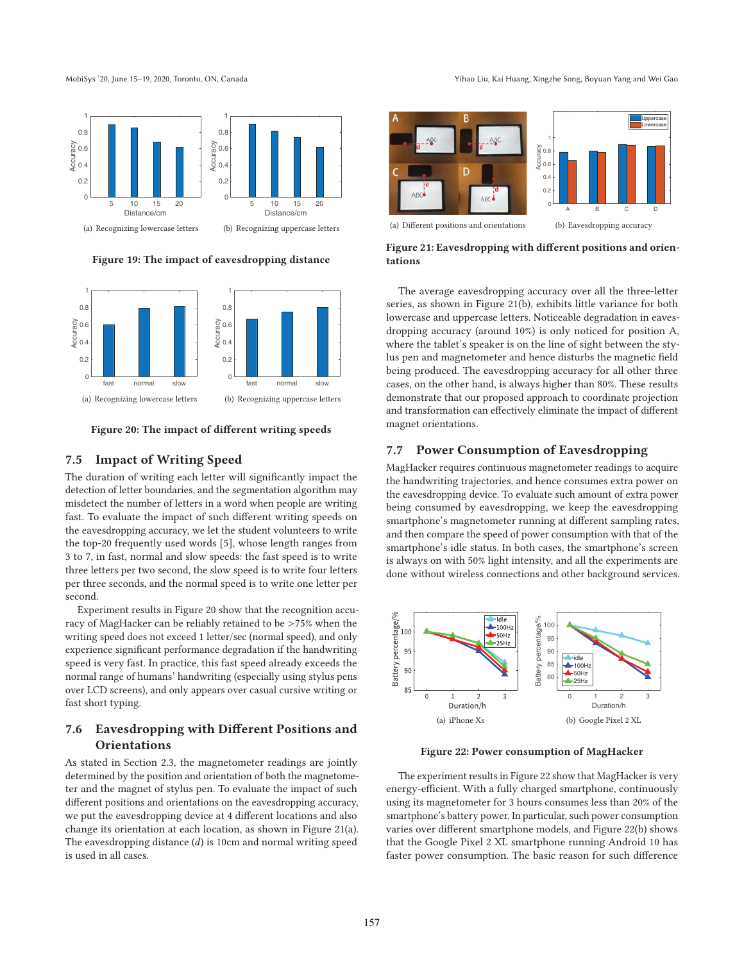

**Figure 19: The impact of eavesdropping distance**



**Figure 20: The impact of different writing speeds**

## **7.5 Impact of Writing Speed**

The duration of writing each letter will significantly impact the detection of letter boundaries, and the segmentation algorithm may misdetect the number of letters in a word when people are writing fast. To evaluate the impact of such different writing speeds on the eavesdropping accuracy, we let the student volunteers to write the top-20 frequently used words [5], whose length ranges from 3 to 7, in fast, normal and slow speeds: the fast speed is to write three letters per two second, the slow speed is to write four letters per three seconds, and the normal speed is to write one letter per second.

Experiment results in Figure 20 show that the recognition accuracy of MagHacker can be reliably retained to be >75% when the writing speed does not exceed 1 letter/sec (normal speed), and only experience significant performance degradation if the handwriting speed is very fast. In practice, this fast speed already exceeds the normal range of humans' handwriting (especially using stylus pens over LCD screens), and only appears over casual cursive writing or fast short typing.

## **7.6 Eavesdropping with Different Positions and Orientations**

As stated in Section 2.3, the magnetometer readings are jointly determined by the position and orientation of both the magnetometer and the magnet of stylus pen. To evaluate the impact of such different positions and orientations on the eavesdropping accuracy, we put the eavesdropping device at 4 different locations and also change its orientation at each location, as shown in Figure 21(a). The eavesdropping distance  $(d)$  is 10cm and normal writing speed is used in all cases.

MobiSys '20, June 15-19, 2020, Toronto, ON, Canada Yihao Liu, Kai Huang, Xingzhe Song, Boyuan Yang and Wei Gao



**Figure 21: Eavesdropping with different positions and orientations**

The average eavesdropping accuracy over all the three-letter series, as shown in Figure 21(b), exhibits little variance for both lowercase and uppercase letters. Noticeable degradation in eavesdropping accuracy (around 10%) is only noticed for position A, where the tablet's speaker is on the line of sight between the stylus pen and magnetometer and hence disturbs the magnetic field being produced. The eavesdropping accuracy for all other three cases, on the other hand, is always higher than 80%. These results demonstrate that our proposed approach to coordinate projection and transformation can effectively eliminate the impact of different magnet orientations.

## **7.7 Power Consumption of Eavesdropping**

MagHacker requires continuous magnetometer readings to acquire the handwriting trajectories, and hence consumes extra power on the eavesdropping device. To evaluate such amount of extra power being consumed by eavesdropping, we keep the eavesdropping smartphone's magnetometer running at different sampling rates, and then compare the speed of power consumption with that of the smartphone's idle status. In both cases, the smartphone's screen is always on with 50% light intensity, and all the experiments are done without wireless connections and other background services.



**Figure 22: Power consumption of MagHacker**

The experiment results in Figure 22 show that MagHacker is very energy-efficient. With a fully charged smartphone, continuously using its magnetometer for 3 hours consumes less than 20% of the smartphone's battery power. In particular, such power consumption varies over different smartphone models, and Figure 22(b) shows that the Google Pixel 2 XL smartphone running Android 10 has faster power consumption. The basic reason for such difference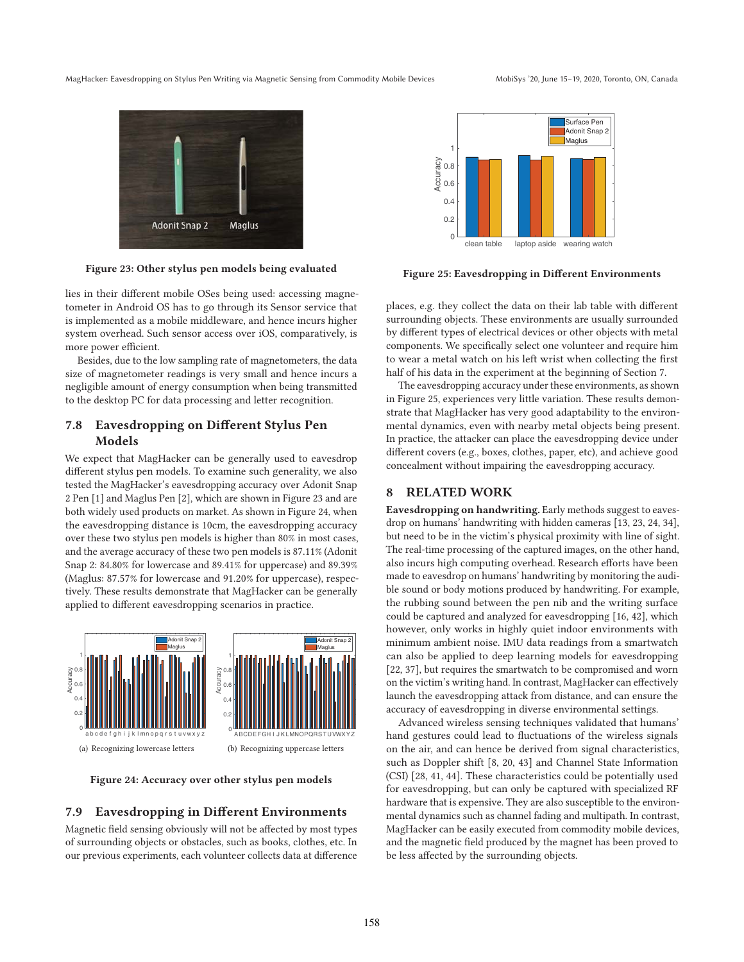



**Figure 23: Other stylus pen models being evaluated**

lies in their different mobile OSes being used: accessing magnetometer in Android OS has to go through its Sensor service that is implemented as a mobile middleware, and hence incurs higher system overhead. Such sensor access over iOS, comparatively, is more power efficient.

Besides, due to the low sampling rate of magnetometers, the data size of magnetometer readings is very small and hence incurs a negligible amount of energy consumption when being transmitted to the desktop PC for data processing and letter recognition.

## **7.8 Eavesdropping on Different Stylus Pen Models**

We expect that MagHacker can be generally used to eavesdrop different stylus pen models. To examine such generality, we also tested the MagHacker's eavesdropping accuracy over Adonit Snap 2 Pen [1] and Maglus Pen [2], which are shown in Figure 23 and are both widely used products on market. As shown in Figure 24, when the eavesdropping distance is 10cm, the eavesdropping accuracy over these two stylus pen models is higher than 80% in most cases, and the average accuracy of these two pen models is 87.11% (Adonit Snap 2: 84.80% for lowercase and 89.41% for uppercase) and 89.39% (Maglus: 87.57% for lowercase and 91.20% for uppercase), respectively. These results demonstrate that MagHacker can be generally applied to different eavesdropping scenarios in practice.



**Figure 24: Accuracy over other stylus pen models**

#### **7.9 Eavesdropping in Different Environments**

Magnetic field sensing obviously will not be affected by most types of surrounding objects or obstacles, such as books, clothes, etc. In our previous experiments, each volunteer collects data at difference

**Figure 25: Eavesdropping in Different Environments**

places, e.g. they collect the data on their lab table with different surrounding objects. These environments are usually surrounded by different types of electrical devices or other objects with metal components. We specifically select one volunteer and require him to wear a metal watch on his left wrist when collecting the first half of his data in the experiment at the beginning of Section 7.

The eavesdropping accuracy under these environments, as shown in Figure 25, experiences very little variation. These results demonstrate that MagHacker has very good adaptability to the environmental dynamics, even with nearby metal objects being present. In practice, the attacker can place the eavesdropping device under different covers (e.g., boxes, clothes, paper, etc), and achieve good concealment without impairing the eavesdropping accuracy.

## **8 RELATED WORK**

**Eavesdropping on handwriting.** Early methods suggest to eavesdrop on humans' handwriting with hidden cameras [13, 23, 24, 34], but need to be in the victim's physical proximity with line of sight. The real-time processing of the captured images, on the other hand, also incurs high computing overhead. Research efforts have been made to eavesdrop on humans' handwriting by monitoring the audible sound or body motions produced by handwriting. For example, the rubbing sound between the pen nib and the writing surface could be captured and analyzed for eavesdropping [16, 42], which however, only works in highly quiet indoor environments with minimum ambient noise. IMU data readings from a smartwatch can also be applied to deep learning models for eavesdropping [22, 37], but requires the smartwatch to be compromised and worn on the victim's writing hand. In contrast, MagHacker can effectively launch the eavesdropping attack from distance, and can ensure the accuracy of eavesdropping in diverse environmental settings.

Advanced wireless sensing techniques validated that humans' hand gestures could lead to fluctuations of the wireless signals on the air, and can hence be derived from signal characteristics, such as Doppler shift [8, 20, 43] and Channel State Information (CSI) [28, 41, 44]. These characteristics could be potentially used for eavesdropping, but can only be captured with specialized RF hardware that is expensive. They are also susceptible to the environmental dynamics such as channel fading and multipath. In contrast, MagHacker can be easily executed from commodity mobile devices, and the magnetic field produced by the magnet has been proved to be less affected by the surrounding objects.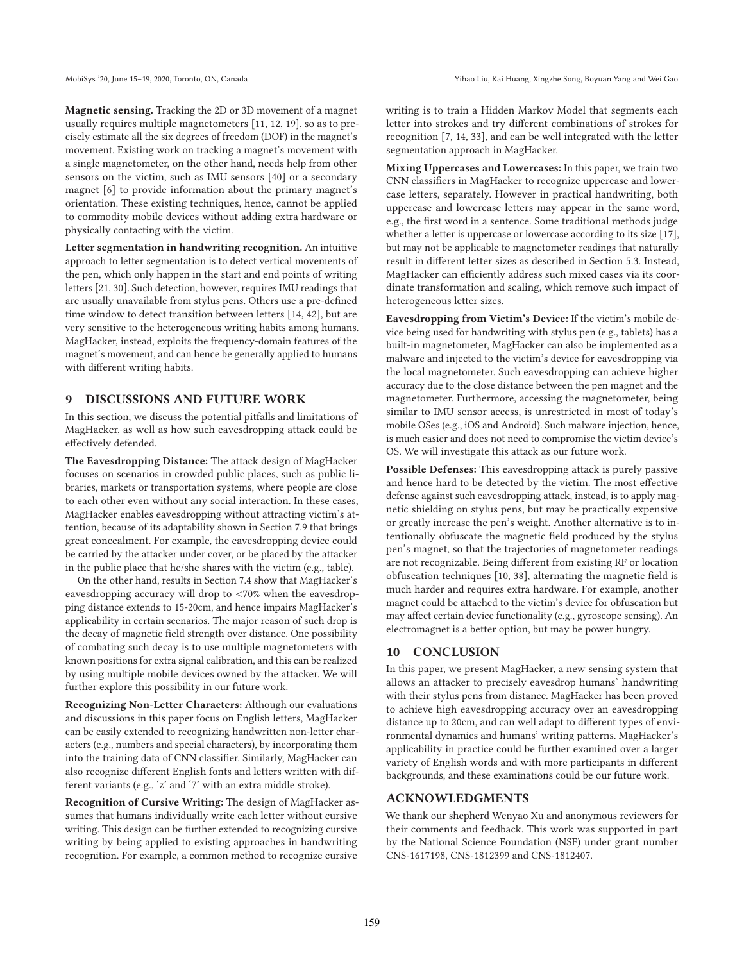**Magnetic sensing.** Tracking the 2D or 3D movement of a magnet usually requires multiple magnetometers [11, 12, 19], so as to precisely estimate all the six degrees of freedom (DOF) in the magnet's movement. Existing work on tracking a magnet's movement with a single magnetometer, on the other hand, needs help from other sensors on the victim, such as IMU sensors [40] or a secondary magnet [6] to provide information about the primary magnet's orientation. These existing techniques, hence, cannot be applied to commodity mobile devices without adding extra hardware or physically contacting with the victim.

**Letter segmentation in handwriting recognition.** An intuitive approach to letter segmentation is to detect vertical movements of the pen, which only happen in the start and end points of writing letters [21, 30]. Such detection, however, requires IMU readings that are usually unavailable from stylus pens. Others use a pre-defined time window to detect transition between letters [14, 42], but are very sensitive to the heterogeneous writing habits among humans. MagHacker, instead, exploits the frequency-domain features of the magnet's movement, and can hence be generally applied to humans with different writing habits.

## **9 DISCUSSIONS AND FUTURE WORK**

In this section, we discuss the potential pitfalls and limitations of MagHacker, as well as how such eavesdropping attack could be effectively defended.

**The Eavesdropping Distance:** The attack design of MagHacker focuses on scenarios in crowded public places, such as public libraries, markets or transportation systems, where people are close to each other even without any social interaction. In these cases, MagHacker enables eavesdropping without attracting victim's attention, because of its adaptability shown in Section 7.9 that brings great concealment. For example, the eavesdropping device could be carried by the attacker under cover, or be placed by the attacker in the public place that he/she shares with the victim (e.g., table).

On the other hand, results in Section 7.4 show that MagHacker's eavesdropping accuracy will drop to <70% when the eavesdropping distance extends to 15-20cm, and hence impairs MagHacker's applicability in certain scenarios. The major reason of such drop is the decay of magnetic field strength over distance. One possibility of combating such decay is to use multiple magnetometers with known positions for extra signal calibration, and this can be realized by using multiple mobile devices owned by the attacker. We will further explore this possibility in our future work.

**Recognizing Non-Letter Characters:** Although our evaluations and discussions in this paper focus on English letters, MagHacker can be easily extended to recognizing handwritten non-letter characters (e.g., numbers and special characters), by incorporating them into the training data of CNN classifier. Similarly, MagHacker can also recognize different English fonts and letters written with different variants (e.g., 'z' and '7' with an extra middle stroke).

**Recognition of Cursive Writing:** The design of MagHacker assumes that humans individually write each letter without cursive writing. This design can be further extended to recognizing cursive writing by being applied to existing approaches in handwriting recognition. For example, a common method to recognize cursive

writing is to train a Hidden Markov Model that segments each letter into strokes and try different combinations of strokes for recognition [7, 14, 33], and can be well integrated with the letter segmentation approach in MagHacker.

**Mixing Uppercases and Lowercases:** In this paper, we train two CNN classifiers in MagHacker to recognize uppercase and lowercase letters, separately. However in practical handwriting, both uppercase and lowercase letters may appear in the same word, e.g., the first word in a sentence. Some traditional methods judge whether a letter is uppercase or lowercase according to its size [17], but may not be applicable to magnetometer readings that naturally result in different letter sizes as described in Section 5.3. Instead, MagHacker can efficiently address such mixed cases via its coordinate transformation and scaling, which remove such impact of heterogeneous letter sizes.

**Eavesdropping from Victim's Device:** If the victim's mobile device being used for handwriting with stylus pen (e.g., tablets) has a built-in magnetometer, MagHacker can also be implemented as a malware and injected to the victim's device for eavesdropping via the local magnetometer. Such eavesdropping can achieve higher accuracy due to the close distance between the pen magnet and the magnetometer. Furthermore, accessing the magnetometer, being similar to IMU sensor access, is unrestricted in most of today's mobile OSes (e.g., iOS and Android). Such malware injection, hence, is much easier and does not need to compromise the victim device's OS. We will investigate this attack as our future work.

**Possible Defenses:** This eavesdropping attack is purely passive and hence hard to be detected by the victim. The most effective defense against such eavesdropping attack, instead, is to apply magnetic shielding on stylus pens, but may be practically expensive or greatly increase the pen's weight. Another alternative is to intentionally obfuscate the magnetic field produced by the stylus pen's magnet, so that the trajectories of magnetometer readings are not recognizable. Being different from existing RF or location obfuscation techniques [10, 38], alternating the magnetic field is much harder and requires extra hardware. For example, another magnet could be attached to the victim's device for obfuscation but may affect certain device functionality (e.g., gyroscope sensing). An electromagnet is a better option, but may be power hungry.

## **10 CONCLUSION**

In this paper, we present MagHacker, a new sensing system that allows an attacker to precisely eavesdrop humans' handwriting with their stylus pens from distance. MagHacker has been proved to achieve high eavesdropping accuracy over an eavesdropping distance up to 20cm, and can well adapt to different types of environmental dynamics and humans' writing patterns. MagHacker's applicability in practice could be further examined over a larger variety of English words and with more participants in different backgrounds, and these examinations could be our future work.

## **ACKNOWLEDGMENTS**

We thank our shepherd Wenyao Xu and anonymous reviewers for their comments and feedback. This work was supported in part by the National Science Foundation (NSF) under grant number CNS-1617198, CNS-1812399 and CNS-1812407.